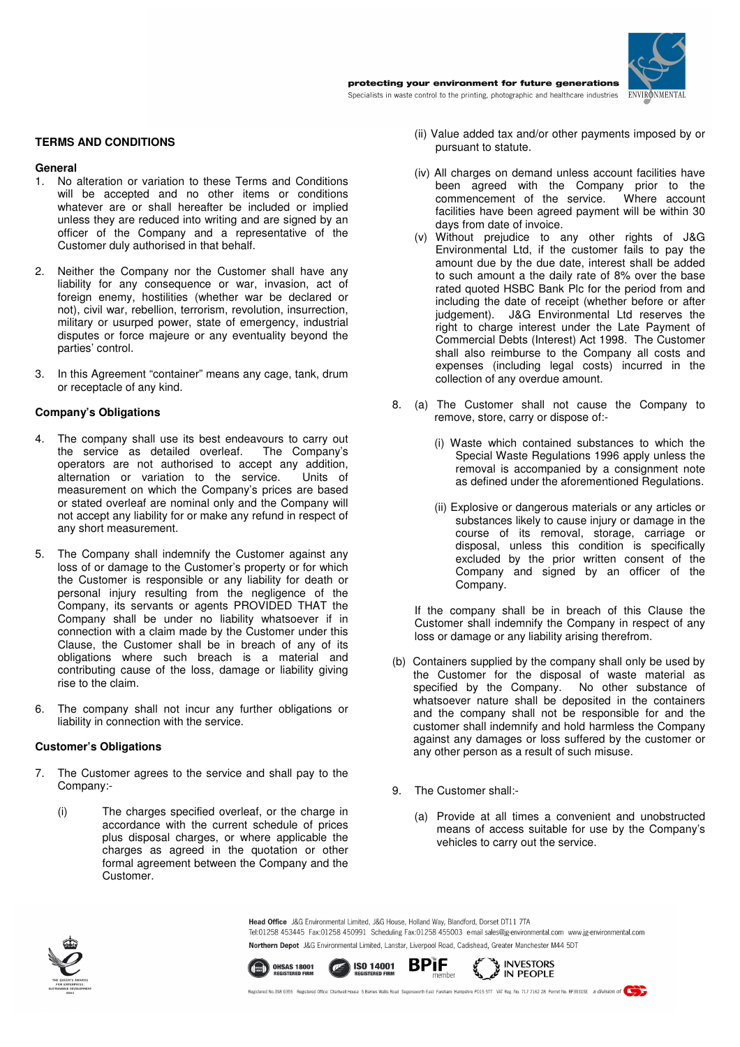

**TERMS AND CONDITIONS** 

### **General**

- 1. No alteration or variation to these Terms and Conditions will be accepted and no other items or conditions whatever are or shall hereafter be included or implied unless they are reduced into writing and are signed by an officer of the Company and a representative of the Customer duly authorised in that behalf.
- 2. Neither the Company nor the Customer shall have any liability for any consequence or war, invasion, act of foreign enemy, hostilities (whether war be declared or not), civil war, rebellion, terrorism, revolution, insurrection, military or usurped power, state of emergency, industrial disputes or force majeure or any eventuality beyond the parties' control.
- 3. In this Agreement "container" means any cage, tank, drum or receptacle of any kind.

## **Company's Obligations**

- The company shall use its best endeavours to carry out the service as detailed overleaf. The Company's the service as detailed overleaf. operators are not authorised to accept any addition, alternation or variation to the service. Units of measurement on which the Company's prices are based or stated overleaf are nominal only and the Company will not accept any liability for or make any refund in respect of any short measurement.
- 5. The Company shall indemnify the Customer against any loss of or damage to the Customer's property or for which the Customer is responsible or any liability for death or personal injury resulting from the negligence of the Company, its servants or agents PROVIDED THAT the Company shall be under no liability whatsoever if in connection with a claim made by the Customer under this Clause, the Customer shall be in breach of any of its obligations where such breach is a material and contributing cause of the loss, damage or liability giving rise to the claim.
- 6. The company shall not incur any further obligations or liability in connection with the service.

### **Customer's Obligations**

- 7. The Customer agrees to the service and shall pay to the Company:-
	- (i) The charges specified overleaf, or the charge in accordance with the current schedule of prices plus disposal charges, or where applicable the charges as agreed in the quotation or other formal agreement between the Company and the Customer.
- (ii) Value added tax and/or other payments imposed by or pursuant to statute.
- (iv) All charges on demand unless account facilities have been agreed with the Company prior to the commencement of the service. Where account facilities have been agreed payment will be within 30 days from date of invoice.
- (v) Without prejudice to any other rights of J&G Environmental Ltd, if the customer fails to pay the amount due by the due date, interest shall be added to such amount a the daily rate of 8% over the base rated quoted HSBC Bank Plc for the period from and including the date of receipt (whether before or after judgement). J&G Environmental Ltd reserves the right to charge interest under the Late Payment of Commercial Debts (Interest) Act 1998. The Customer shall also reimburse to the Company all costs and expenses (including legal costs) incurred in the collection of any overdue amount.
- 8. (a) The Customer shall not cause the Company to remove, store, carry or dispose of:-
	- (i) Waste which contained substances to which the Special Waste Regulations 1996 apply unless the removal is accompanied by a consignment note as defined under the aforementioned Regulations.
	- (ii) Explosive or dangerous materials or any articles or substances likely to cause injury or damage in the course of its removal, storage, carriage or disposal, unless this condition is specifically excluded by the prior written consent of the Company and signed by an officer of the Company.

If the company shall be in breach of this Clause the Customer shall indemnify the Company in respect of any loss or damage or any liability arising therefrom.

- (b) Containers supplied by the company shall only be used by the Customer for the disposal of waste material as specified by the Company. No other substance of specified by the Company. whatsoever nature shall be deposited in the containers and the company shall not be responsible for and the customer shall indemnify and hold harmless the Company against any damages or loss suffered by the customer or any other person as a result of such misuse.
- 9. The Customer shall:-
	- (a) Provide at all times a convenient and unobstructed means of access suitable for use by the Company's vehicles to carry out the service.



Head Office J&G Environmental Limited J&G House, Holland Way, Blandford, Dorset DT11, 7TA Tel:01258 453445 Fax:01258 450991 Scheduling Fax:01258 455003 e-mail sales@jg-environmental.com www.jg-environmental.com Northern Depot J&G Environmental Limited, Lanstar, Liverpool Road, Cadishead, Greater Manchester M44 5DT

INVESTORS IN PEOPLE



member Registered No.358 0355 Registered Office: Chartwell House 5 Barnes Wallis Road Segen vorth East Fareham Hampshire PO15 5TT VAT Reg. No. 717 7162 28 Permit No. RP3931SE a division of

**BPiF**